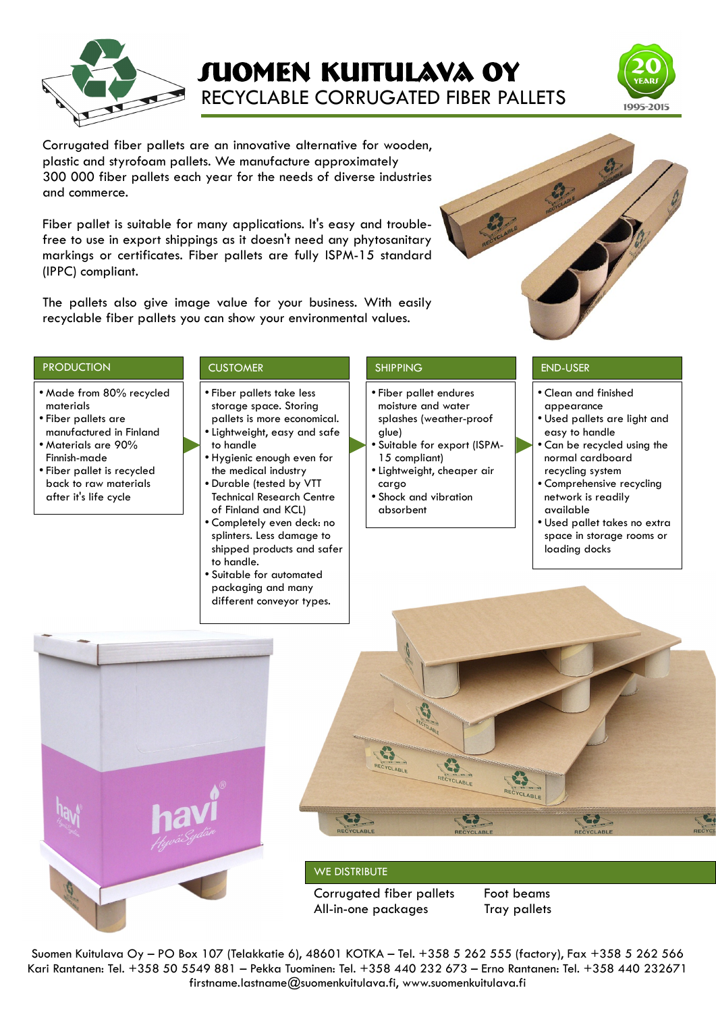

# **Suomen kuitulava oy** RECYCLABLE CORRUGATED FIBER PALLETS



Corrugated fiber pallets are an innovative alternative for wooden, plastic and styrofoam pallets. We manufacture approximately 300 000 fiber pallets each year for the needs of diverse industries and commerce.

Fiber pallet is suitable for many applications. It's easy and troublefree to use in export shippings as it doesn't need any phytosanitary markings or certificates. Fiber pallets are fully ISPM-15 standard (IPPC) compliant.

The pallets also give image value for your business. With easily recyclable fiber pallets you can show your environmental values.



### PRODUCTION CUSTOMER SHIPPING SHIPPING END-USER

- Made from 80% recycled materials
- Fiber pallets are manufactured in Finland ● Materials are 90%
- Finnish-made
- Fiber pallet is recycled back to raw materials after it's life cycle

- Fiber pallets take less storage space. Storing pallets is more economical.
- Lightweight, easy and safe to handle
- Hygienic enough even for the medical industry • Durable (tested by VTT
- Technical Research Centre of Finland and KCL)
- Completely even deck: no splinters. Less damage to shipped products and safer to handle.
- Suitable for automated packaging and many different conveyor types.

- Fiber pallet endures moisture and water splashes (weather-proof glue)
- Suitable for export (ISPM-15 compliant)
- Lightweight, cheaper air cargo
- Shock and vibration absorbent

- Clean and finished appearance
- Used pallets are light and easy to handle
- Can be recycled using the normal cardboard recycling system
- Comprehensive recycling network is readily available
- Used pallet takes no extra space in storage rooms or loading docks





### WE DISTRIBUTE

Corrugated fiber pallets Foot beams All-in-one packages Tray pallets

Suomen Kuitulava Oy – PO Box 107 (Telakkatie 6), 48601 KOTKA – Tel. +358 5 262 555 (factory), Fax +358 5 262 566 Kari Rantanen: Tel. +358 50 5549 881 – Pekka Tuominen: Tel. +358 440 232 673 – Erno Rantanen: Tel. +358 440 232671 firstname.lastname@suomenkuitulava.fi, www.suomenkuitulava.fi